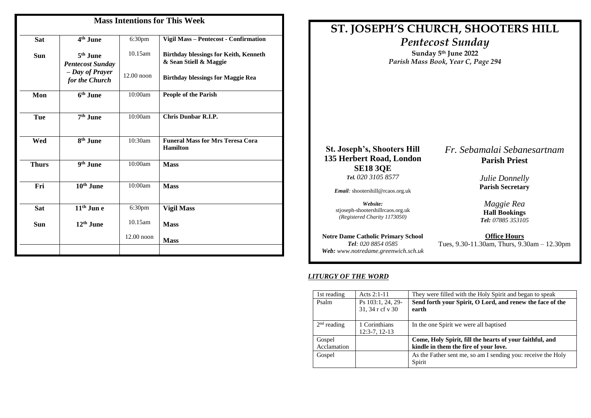| <b>Mass Intentions for This Week</b> |                                                 |                    |                                                                        |  |
|--------------------------------------|-------------------------------------------------|--------------------|------------------------------------------------------------------------|--|
| <b>Sat</b>                           | 4 <sup>th</sup> June                            | 6:30 <sub>pm</sub> | Vigil Mass - Pentecost - Confirmation                                  |  |
| <b>Sun</b>                           | 5 <sup>th</sup> June<br><b>Pentecost Sunday</b> | $10.15$ am         | <b>Birthday blessings for Keith, Kenneth</b><br>& Sean Stiell & Maggie |  |
|                                      | - Day of Prayer<br>for the Church               | $12.00$ noon       | <b>Birthday blessings for Maggie Rea</b>                               |  |
| Mon                                  | 6 <sup>th</sup> June                            | 10:00am            | <b>People of the Parish</b>                                            |  |
| <b>Tue</b>                           | 7 <sup>th</sup> June                            | 10:00am            | <b>Chris Dunbar R.I.P.</b>                                             |  |
| Wed                                  | 8 <sup>th</sup> June                            | 10:30am            | <b>Funeral Mass for Mrs Teresa Cora</b><br><b>Hamilton</b>             |  |
| <b>Thurs</b>                         | 9 <sup>th</sup> June                            | 10:00am            | <b>Mass</b>                                                            |  |
| Fri                                  | 10 <sup>th</sup> June                           | 10:00am            | <b>Mass</b>                                                            |  |
| <b>Sat</b>                           | $11th$ Jun e                                    | 6:30 <sub>pm</sub> | <b>Vigil Mass</b>                                                      |  |
| <b>Sun</b>                           | $12th$ June                                     | $10.15$ am         | <b>Mass</b>                                                            |  |
|                                      |                                                 | $12.00$ noon       | <b>Mass</b>                                                            |  |
|                                      |                                                 |                    |                                                                        |  |

# **ST. JOSEPH'S CHURCH, SHOOTERS HILL** *Pentecost Sunday* **Sunday 5 th June 2022** *Parish Mass Book, Year C, Page 294* **St. Joseph's, Shooters Hill 135 Herbert Road, London SE18 3QE** *Tel. 020 3105 8577 Email:* shootershill@rcaos.org.uk *Website:*  stjoseph-shootershillrcaos.org.uk *(Registered Charity 1173050)* **Notre Dame Catholic Primary School** *Tel: 020 8854 0585 Web: www.notredame.greenwich.sch.uk Fr. Sebamalai Sebanesartnam* **Parish Priest** *Julie Donnelly* **Parish Secretary** *Maggie Rea* **Hall Bookings**  *Tel: 07885 353105* **Office Hours** Tues, 9.30-11.30am, Thurs, 9.30am – 12.30pm

## *LITURGY OF THE WORD*

| 1st reading           | Acts $2:1-11$                         | They were filled with the Holy Spirit and began to speak                                          |
|-----------------------|---------------------------------------|---------------------------------------------------------------------------------------------------|
| Psalm                 | Ps 103:1, 24, 29-<br>31, 34 r cf v 30 | Send forth your Spirit, O Lord, and renew the face of the<br>earth                                |
| $2nd$ reading         | 1 Corinthians<br>$12:3-7, 12-13$      | In the one Spirit we were all baptised                                                            |
| Gospel<br>Acclamation |                                       | Come, Holy Spirit, fill the hearts of your faithful, and<br>kindle in them the fire of your love. |
| Gospel                |                                       | As the Father sent me, so am I sending you: receive the Holy<br>Spirit                            |